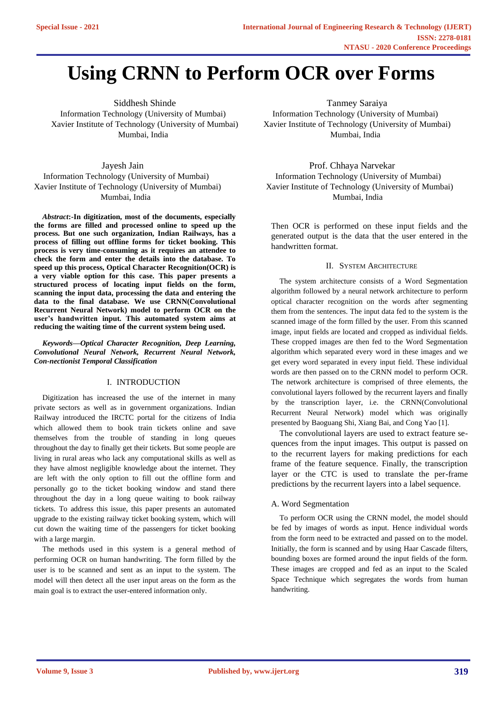# **Using CRNN to Perform OCR over Forms**

Siddhesh Shinde Tanmey Saraiya Information Technology (University of Mumbai) Information Technology (University of Mumbai) Mumbai, India Mumbai, India

Jayesh Jain Information Technology (University of Mumbai) Xavier Institute of Technology (University of Mumbai) Mumbai, India

*Abstract***:-In digitization, most of the documents, especially the forms are filled and processed online to speed up the process. But one such organization, Indian Railways, has a process of filling out offline forms for ticket booking. This process is very time-consuming as it requires an attendee to check the form and enter the details into the database. To speed up this process, Optical Character Recognition(OCR) is a very viable option for this case. This paper presents a structured process of locating input fields on the form, scanning the input data, processing the data and entering the data to the final database. We use CRNN(Convolutional Recurrent Neural Network) model to perform OCR on the user's handwritten input. This automated system aims at reducing the waiting time of the current system being used.**

*Keywords—Optical Character Recognition, Deep Learning, Convolutional Neural Network, Recurrent Neural Network, Con-nectionist Temporal Classification*

# I. INTRODUCTION

Digitization has increased the use of the internet in many private sectors as well as in government organizations. Indian Railway introduced the IRCTC portal for the citizens of India which allowed them to book train tickets online and save themselves from the trouble of standing in long queues throughout the day to finally get their tickets. But some people are living in rural areas who lack any computational skills as well as they have almost negligible knowledge about the internet. They are left with the only option to fill out the offline form and personally go to the ticket booking window and stand there throughout the day in a long queue waiting to book railway tickets. To address this issue, this paper presents an automated upgrade to the existing railway ticket booking system, which will cut down the waiting time of the passengers for ticket booking with a large margin.

The methods used in this system is a general method of performing OCR on human handwriting. The form filled by the user is to be scanned and sent as an input to the system. The model will then detect all the user input areas on the form as the main goal is to extract the user-entered information only.

Xavier Institute of Technology (University of Mumbai) Xavier Institute of Technology (University of Mumbai)

Prof. Chhaya Narvekar Information Technology (University of Mumbai) Xavier Institute of Technology (University of Mumbai) Mumbai, India

Then OCR is performed on these input fields and the generated output is the data that the user entered in the handwritten format.

# II. SYSTEM ARCHITECTURE

The system architecture consists of a Word Segmentation algorithm followed by a neural network architecture to perform optical character recognition on the words after segmenting them from the sentences. The input data fed to the system is the scanned image of the form filled by the user. From this scanned image, input fields are located and cropped as individual fields. These cropped images are then fed to the Word Segmentation algorithm which separated every word in these images and we get every word separated in every input field. These individual words are then passed on to the CRNN model to perform OCR. The network architecture is comprised of three elements, the convolutional layers followed by the recurrent layers and finally by the transcription layer, i.e. the CRNN(Convolutional Recurrent Neural Network) model which was originally presented by Baoguang Shi, Xiang Bai, and Cong Yao [1].

The convolutional layers are used to extract feature sequences from the input images. This output is passed on to the recurrent layers for making predictions for each frame of the feature sequence. Finally, the transcription layer or the CTC is used to translate the per-frame predictions by the recurrent layers into a label sequence.

# A. Word Segmentation

To perform OCR using the CRNN model, the model should be fed by images of words as input. Hence individual words from the form need to be extracted and passed on to the model. Initially, the form is scanned and by using Haar Cascade filters, bounding boxes are formed around the input fields of the form. These images are cropped and fed as an input to the Scaled Space Technique which segregates the words from human handwriting.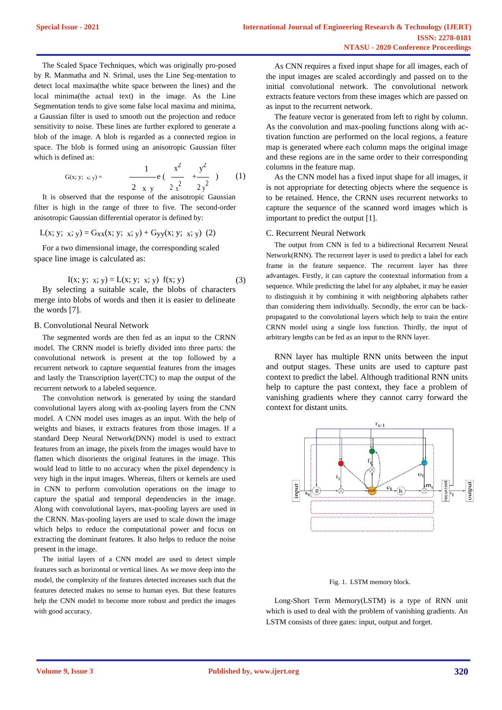The Scaled Space Techniques, which was originally pro-posed by R. Manmatha and N. Srimal, uses the Line Seg-mentation to detect local maxima(the white space between the lines) and the local minima(the actual text) in the image. As the Line Segmentation tends to give some false local maxima and minima, a Gaussian filter is used to smooth out the projection and reduce sensitivity to noise. These lines are further explored to generate a blob of the image. A blob is regarded as a connected region in space. The blob is formed using an anisotropic Gaussian filter which is defined as:

G(x; y; x; y) = 
$$
\frac{1}{2 \times y} e\left(\frac{x^2}{2x^2} + \frac{y^2}{2y^2}\right) \qquad (1)
$$

It is observed that the response of the anisotropic Gaussian filter is high in the range of three to five. The second-order anisotropic Gaussian differential operator is defined by:

$$
L(x; y; x; y) = G_{XX}(x; y; x; y) + G_{yy}(x; y; x; y)
$$
 (2)

For a two dimensional image, the corresponding scaled space line image is calculated as:

$$
I(x; y; x; y) = L(x; y; x; y) f(x; y)
$$
 (3)

By selecting a suitable scale, the blobs of characters merge into blobs of words and then it is easier to delineate the words [7].

## B. Convolutional Neural Network

The segmented words are then fed as an input to the CRNN model. The CRNN model is briefly divided into three parts: the convolutional network is present at the top followed by a recurrent network to capture sequential features from the images and lastly the Transcription layer(CTC) to map the output of the recurrent network to a labeled sequence.

The convolution network is generated by using the standard convolutional layers along with ax-pooling layers from the CNN model. A CNN model uses images as an input. With the help of weights and biases, it extracts features from those images. If a standard Deep Neural Network(DNN) model is used to extract features from an image, the pixels from the images would have to flatten which disorients the original features in the image. This would lead to little to no accuracy when the pixel dependency is very high in the input images. Whereas, filters or kernels are used in CNN to perform convolution operations on the image to capture the spatial and temporal dependencies in the image. Along with convolutional layers, max-pooling layers are used in the CRNN. Max-pooling layers are used to scale down the image which helps to reduce the computational power and focus on extracting the dominant features. It also helps to reduce the noise present in the image.

The initial layers of a CNN model are used to detect simple features such as horizontal or vertical lines. As we move deep into the model, the complexity of the features detected increases such that the features detected makes no sense to human eyes. But these features help the CNN model to become more robust and predict the images with good accuracy.

As CNN requires a fixed input shape for all images, each of the input images are scaled accordingly and passed on to the initial convolutional network. The convolutional network extracts feature vectors from these images which are passed on as input to the recurrent network.

The feature vector is generated from left to right by column. As the convolution and max-pooling functions along with activation function are performed on the local regions, a feature map is generated where each column maps the original image and these regions are in the same order to their corresponding columns in the feature map.

As the CNN model has a fixed input shape for all images, it is not appropriate for detecting objects where the sequence is to be retained. Hence, the CRNN uses recurrent networks to capture the sequence of the scanned word images which is important to predict the output [1].

## C. Recurrent Neural Network

The output from CNN is fed to a bidirectional Recurrent Neural Network(RNN). The recurrent layer is used to predict a label for each frame in the feature sequence. The recurrent layer has three advantages. Firstly, it can capture the contextual information from a sequence. While predicting the label for any alphabet, it may be easier to distinguish it by combining it with neighboring alphabets rather than considering them individually. Secondly, the error can be backpropagated to the convolutional layers which help to train the entire CRNN model using a single loss function. Thirdly, the input of arbitrary lengths can be fed as an input to the RNN layer.

RNN layer has multiple RNN units between the input and output stages. These units are used to capture past context to predict the label. Although traditional RNN units help to capture the past context, they face a problem of vanishing gradients where they cannot carry forward the context for distant units.



#### Fig. 1. LSTM memory block.

Long-Short Term Memory(LSTM) is a type of RNN unit which is used to deal with the problem of vanishing gradients. An LSTM consists of three gates: input, output and forget.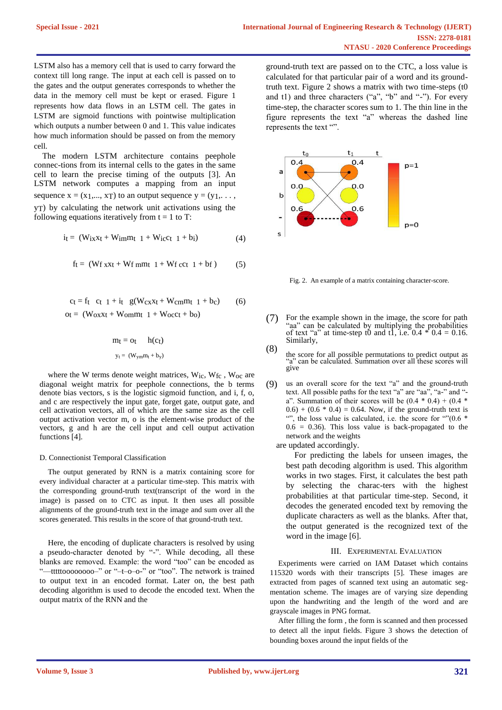LSTM also has a memory cell that is used to carry forward the context till long range. The input at each cell is passed on to the gates and the output generates corresponds to whether the data in the memory cell must be kept or erased. Figure 1 represents how data flows in an LSTM cell. The gates in LSTM are sigmoid functions with pointwise multiplication which outputs a number between 0 and 1. This value indicates how much information should be passed on from the memory cell.

The modern LSTM architecture contains peephole connec-tions from its internal cells to the gates in the same cell to learn the precise timing of the outputs [3]. An LSTM network computes a mapping from an input sequence  $x = (x_1,..., x_T)$  to an output sequence  $y = (y_1,..., y_T)$ yT) by calculating the network unit activations using the following equations iteratively from  $t = 1$  to T:

$$
i_{t} = (W_{ix}x_{t} + W_{im}m_{t} \t 1 + W_{ic}c_{t} \t 1 + b_{i}) \t (4)
$$

$$
f_t = (W_f x x_t + W_f m t_1 + W_f c c_t 1 + b_f)
$$
 (5)

$$
ct = ft \quad ct \quad 1 + it \quad g(W_{c}x + W_{c} + W_{c} + h_{c}) \tag{6}
$$
\n
$$
ot = (W_{o}x + W_{o} + h_{c} + h_{o})
$$

$$
m_t = o_t \qquad h(ct)
$$
  

$$
y_t = (W_{ym}m_t + b_y)
$$

where the W terms denote weight matrices, W<sub>ic</sub>, W<sub>fc</sub>, W<sub>oc</sub> are diagonal weight matrix for peephole connections, the b terms denote bias vectors, s is the logistic sigmoid function, and i, f, o, and c are respectively the input gate, forget gate, output gate, and cell activation vectors, all of which are the same size as the cell output activation vector m, o is the element-wise product of the vectors, g and h are the cell input and cell output activation functions [4].

## D. Connectionist Temporal Classification

The output generated by RNN is a matrix containing score for every individual character at a particular time-step. This matrix with the corresponding ground-truth text(transcript of the word in the image) is passed on to CTC as input. It then uses all possible alignments of the ground-truth text in the image and sum over all the scores generated. This results in the score of that ground-truth text.

Here, the encoding of duplicate characters is resolved by using a pseudo-character denoted by "-". While decoding, all these blanks are removed. Example: the word "too" can be encoded as "-tttttoooooooo-" or "-t-o-o-" or "too". The network is trained to output text in an encoded format. Later on, the best path decoding algorithm is used to decode the encoded text. When the output matrix of the RNN and the

ground-truth text are passed on to the CTC, a loss value is calculated for that particular pair of a word and its groundtruth text. Figure 2 shows a matrix with two time-steps (t0 and t1) and three characters ("a", "b" and "-"). For every time-step, the character scores sum to 1. The thin line in the figure represents the text "a" whereas the dashed line represents the text "".



Fig. 2. An example of a matrix containing character-score.

(7) For the example shown in the image, the score for path "aa" can be calculated by multiplying the probabilities of text "a" at time-step t0 and t1, i.e.  $0.4 * 0.4 = 0.16$ . Similarly, (8)

the score for all possible permutations to predict output as "a" can be calculated. Summation over all these scores will give

(9) us an overall score for the text "a" and the ground-truth text. All possible paths for the text "a" are "aa", "a-" and " a". Summation of their scores will be  $(0.4 * 0.4) + (0.4 * 0.4)$  $(0.6) + (0.6 * 0.4) = 0.64$ . Now, if the ground-truth text is "", the loss value is calculated, i.e. the score for "" $(0.6 *$  $0.6 = 0.36$ ). This loss value is back-propagated to the network and the weights

are updated accordingly.

For predicting the labels for unseen images, the best path decoding algorithm is used. This algorithm works in two stages. First, it calculates the best path by selecting the charac-ters with the highest probabilities at that particular time-step. Second, it decodes the generated encoded text by removing the duplicate characters as well as the blanks. After that, the output generated is the recognized text of the word in the image [6].

# III. EXPERIMENTAL EVALUATION

Experiments were carried on IAM Dataset which contains 115320 words with their transcripts [5]. These images are extracted from pages of scanned text using an automatic segmentation scheme. The images are of varying size depending upon the handwriting and the length of the word and are grayscale images in PNG format.

After filling the form , the form is scanned and then processed to detect all the input fields. Figure 3 shows the detection of bounding boxes around the input fields of the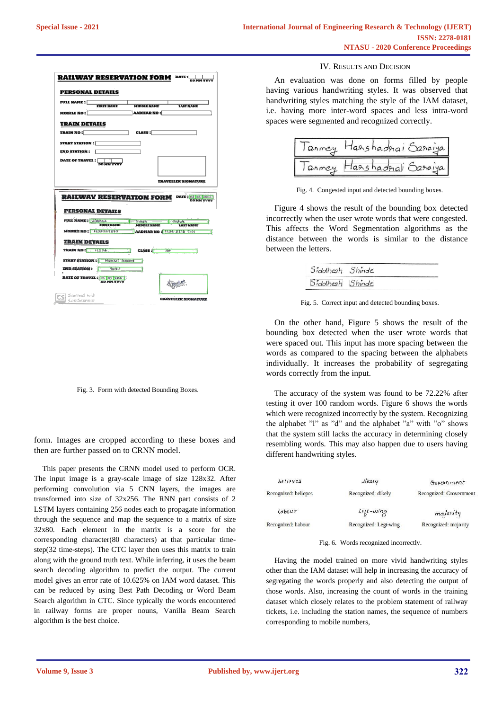

Fig. 3. Form with detected Bounding Boxes.

form. Images are cropped according to these boxes and then are further passed on to CRNN model.

This paper presents the CRNN model used to perform OCR. The input image is a gray-scale image of size 128x32. After performing convolution via 5 CNN layers, the images are transformed into size of 32x256. The RNN part consists of 2 LSTM layers containing 256 nodes each to propagate information through the sequence and map the sequence to a matrix of size 32x80. Each element in the matrix is a score for the corresponding character(80 characters) at that particular timestep(32 time-steps). The CTC layer then uses this matrix to train along with the ground truth text. While inferring, it uses the beam search decoding algorithm to predict the output. The current model gives an error rate of 10.625% on IAM word dataset. This can be reduced by using Best Path Decoding or Word Beam Search algorithm in CTC. Since typically the words encountered in railway forms are proper nouns, Vanilla Beam Search algorithm is the best choice.

## IV. RESULTS AND DECISION

An evaluation was done on forms filled by people having various handwriting styles. It was observed that handwriting styles matching the style of the IAM dataset, i.e. having more inter-word spaces and less intra-word spaces were segmented and recognized correctly.



Fig. 4. Congested input and detected bounding boxes.

Figure 4 shows the result of the bounding box detected incorrectly when the user wrote words that were congested. This affects the Word Segmentation algorithms as the distance between the words is similar to the distance between the letters.

| Sidothesh Shinde | ___________ |
|------------------|-------------|
| Siddhesh Shinde  |             |

Fig. 5. Correct input and detected bounding boxes.

On the other hand, Figure 5 shows the result of the bounding box detected when the user wrote words that were spaced out. This input has more spacing between the words as compared to the spacing between the alphabets individually. It increases the probability of segregating words correctly from the input.

The accuracy of the system was found to be 72.22% after testing it over 100 random words. Figure 6 shows the words which were recognized incorrectly by the system. Recognizing the alphabet "l" as "d" and the alphabet "a" with "o" shows that the system still lacks the accuracy in determining closely resembling words. This may also happen due to users having different handwriting styles.

| believes             | likely                | Government              |
|----------------------|-----------------------|-------------------------|
| Recognized: beliepes | Recognized: dikely    | Recognized: Grovernment |
| Labour               | $Let t-wing$          | majority                |
| Recognized: habour   | Recognized: Legt-wing | Recognized: mojority    |

Fig. 6. Words recognized incorrectly.

Having the model trained on more vivid handwriting styles other than the IAM dataset will help in increasing the accuracy of segregating the words properly and also detecting the output of those words. Also, increasing the count of words in the training dataset which closely relates to the problem statement of railway tickets, i.e. including the station names, the sequence of numbers corresponding to mobile numbers,